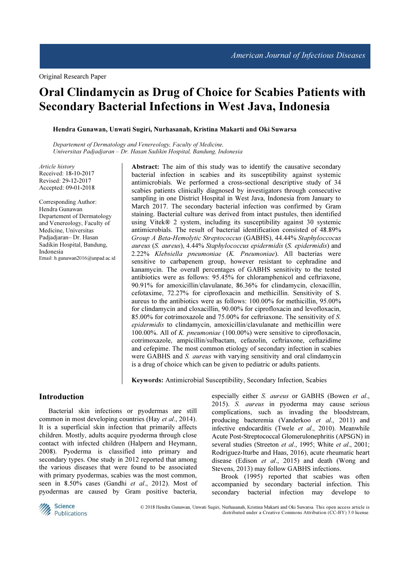# Oral Clindamycin as Drug of Choice for Scabies Patients with Secondary Bacterial Infections in West Java, Indonesia

Hendra Gunawan, Unwati Sugiri, Nurhasanah, Kristina Makarti and Oki Suwarsa

Departement of Dermatology and Venereology, Faculty of Medicine, Universitas Padjadjaran – Dr. Hasan Sadikin Hospital, Bandung, Indonesia

Article history Received: 18-10-2017 Revised: 29-12-2017 Accepted: 09-01-2018

Corresponding Author: Hendra Gunawan Departement of Dermatology and Venereology, Faculty of Medicine, Universitas Padjadjaran– Dr. Hasan Sadikin Hospital, Bandung, Indonesia Email: h.gunawan2016@unpad.ac.id Abstract: The aim of this study was to identify the causative secondary bacterial infection in scabies and its susceptibility against systemic antimicrobials. We performed a cross-sectional descriptive study of 34 scabies patients clinically diagnosed by investigators through consecutive sampling in one District Hospital in West Java, Indonesia from January to March 2017. The secondary bacterial infection was confirmed by Gram staining. Bacterial culture was derived from intact pustules, then identified using Vitek® 2 system, including its susceptibility against 30 systemic antimicrobials. The result of bacterial identification consisted of 48.89% Group A Beta-Hemolytic Streptococcus (GABHS), 44.44% Staphyloccocus aureus (S. aureus), 4.44% Staphylococcus epidermidis (S. epidermidis) and 2.22% Klebsiella pneumoniae (K. Pneumoniae). All bacterias were sensitive to carbapenem group, however resistant to cephradine and kanamycin. The overall percentages of GABHS sensitivity to the tested antibiotics were as follows: 95.45% for chloramphenicol and ceftriaxone, 90.91% for amoxicillin/clavulanate, 86.36% for clindamycin, cloxacillin, cefotaxime, 72.27% for ciprofloxacin and methicillin. Sensitivity of S. aureus to the antibiotics were as follows: 100.00% for methicillin, 95.00% for clindamycin and cloxacillin, 90.00% for ciprofloxacin and levofloxacin, 85.00% for cotrimoxazole and 75.00% for ceftriaxone. The sensitivity of S. epidermidis to clindamycin, amoxicillin/clavulanate and methicillin were 100.00%. All of K. pneumoniae (100.00%) were sensitive to ciprofloxacin, cotrimoxazole, ampicillin/sulbactam, cefazolin, ceftriaxone, ceftazidime and cefepime. The most common etiology of secondary infection in scabies were GABHS and S. *aureus* with varying sensitivity and oral clindamycin is a drug of choice which can be given to pediatric or adults patients.

Keywords: Antimicrobial Susceptibility, Secondary Infection, Scabies

# Introduction

Bacterial skin infections or pyodermas are still common in most developing countries (Hay et al., 2014). It is a superficial skin infection that primarily affects children. Mostly, adults acquire pyoderma through close contact with infected children (Halpern and Heymann, 2008). Pyoderma is classified into primary and secondary types. One study in 2012 reported that among the various diseases that were found to be associated with primary pyodermas, scabies was the most common, seen in 8.50% cases (Gandhi et al., 2012). Most of pyodermas are caused by Gram positive bacteria,

especially either S. aureus or GABHS (Bowen et al., 2015). S. aureus in pyoderma may cause serious complications, such as invading the bloodstream, producing bacteremia (Vanderkoo et al., 2011) and infective endocarditis (Twele et al., 2010). Meanwhile Acute Post-Streptococcal Glomerulonephritis (APSGN) in several studies (Streeton et al., 1995; White et al., 2001; Rodriguez-Iturbe and Haas, 2016), acute rheumatic heart disease (Edison et al., 2015) and death (Wong and Stevens, 2013) may follow GABHS infections.

Brook (1995) reported that scabies was often accompanied by secondary bacterial infection. This secondary bacterial infection may develope to



© 2018 Hendra Gunawan, Unwati Sugiri, Nurhasanah, Kristina Makarti and Oki Suwarsa. This open access article is distributed under a Creative Commons Attribution (CC-BY) 3.0 license.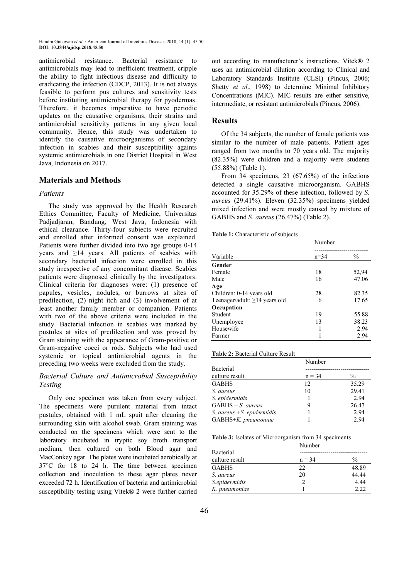antimicrobial resistance. Bacterial resistance to antimicrobials may lead to inefficient treatment, cripple the ability to fight infectious disease and difficulty to eradicating the infection (CDCP, 2013). It is not always feasible to perform pus cultures and sensitivity tests before instituting antimicrobial therapy for pyodermas. Therefore, it becomes imperative to have periodic updates on the causative organisms, their strains and antimicrobial sensitivity patterns in any given local community. Hence, this study was undertaken to identify the causative microorganisms of secondary infection in scabies and their susceptibility againts systemic antimicrobials in one District Hospital in West Java, Indonesia on 2017.

# Materials and Methods

# Patients

The study was approved by the Health Research Ethics Committee, Faculty of Medicine, Universitas Padjadjaran, Bandung, West Java, Indonesia with ethical clearance. Thirty-four subjects were recruited and enrolled after informed consent was explained. Patients were further divided into two age groups 0-14 years and  $\geq$ 14 years. All patients of scabies with secondary bacterial infection were enrolled in this study irrespective of any concomitant disease. Scabies patients were diagnosed clinically by the investigators. Clinical criteria for diagnoses were: (1) presence of papules, vesicles, nodules, or burrows at sites of predilection, (2) night itch and (3) involvement of at least another family member or companion. Patients with two of the above criteria were included in the study. Bacterial infection in scabies was marked by pustules at sites of predilection and was proved by Gram staining with the appearance of Gram-positive or Gram-negative cocci or rods. Subjects who had used systemic or topical antimicrobial agents in the preceding two weeks were excluded from the study.

# Bacterial Culture and Antimicrobial Susceptibility Testing

Only one specimen was taken from every subject. The specimens were purulent material from intact pustules, obtained with 1 mL spuit after cleaning the surrounding skin with alcohol swab. Gram staining was conducted on the specimens which were sent to the laboratory incubated in tryptic soy broth transport medium, then cultured on both Blood agar and MacConkey agar. The plates were incubated aerobically at 37°C for 18 to 24 h. The time between specimen collection and inoculation to these agar plates never exceeded 72 h. Identification of bacteria and antimicrobial susceptibility testing using Vitek® 2 were further carried

out according to manufacturer's instructions. Vitek® 2 uses an antimicrobial dilution according to Clinical and Laboratory Standards Institute (CLSI) (Pincus, 2006; Shetty et al., 1998) to determine Minimal Inhibitory Concentrations (MIC). MIC results are either sensitive, intermediate, or resistant antimicrobials (Pincus, 2006).

#### Results

Of the 34 subjects, the number of female patients was similar to the number of male patients. Patient ages ranged from two months to 70 years old. The majority (82.35%) were children and a majority were students (55.88%) (Table 1).

From 34 specimens, 23 (67.65%) of the infections detected a single causative microorganism. GABHS accounted for 35.29% of these infection, followed by S. aureus (29.41%). Eleven (32.35%) specimens yielded mixed infection and were mostly caused by mixture of GABHS and S. aureus (26.47%) (Table 2).

## Table 1: Characteristic of subjects

| <b>Table 1.</b> Characteristic of subjects |          |               |
|--------------------------------------------|----------|---------------|
|                                            | Number   |               |
|                                            |          |               |
| Variable                                   | $n = 34$ | $\frac{0}{0}$ |
| Gender                                     |          |               |
| Female                                     | 18       | 52,94         |
| Male                                       | 16       | 47.06         |
| Age                                        |          |               |
| Children: 0-14 years old                   | 28       | 82.35         |
| Teenager/adult: $\geq$ 14 years old        | 6        | 17.65         |
| Occupation                                 |          |               |
| Student                                    | 19       | 55.88         |
| Unemployee                                 | 13       | 38.23         |
| Housewife                                  |          | 2.94          |
| Farmer                                     |          | 2.94          |

#### Table 2: Bacterial Culture Result

|                              | Number   |       |
|------------------------------|----------|-------|
| Bacterial                    |          |       |
| culture result               | $n = 34$ | $\%$  |
| <b>GABHS</b>                 | 12       | 35.29 |
| S. aureus                    | 10       | 29.41 |
| S. epidermidis               |          | 2.94  |
| $GABHS + S$ , <i>aureus</i>  | 9        | 26.47 |
| S. aureus $+S$ . epidermidis |          | 2.94  |
| GABHS+K. pneumoniae          |          | 2.94  |

|  |  | Table 3: Isolates of Microorganism from 34 speciments |  |  |  |
|--|--|-------------------------------------------------------|--|--|--|
|--|--|-------------------------------------------------------|--|--|--|

|                | Number        |               |  |  |  |  |
|----------------|---------------|---------------|--|--|--|--|
| Bacterial      |               |               |  |  |  |  |
| culture result | $n = 34$      | $\frac{0}{0}$ |  |  |  |  |
| <b>GABHS</b>   | 22.           | 48.89         |  |  |  |  |
| S. aureus      | 20            | 44.44         |  |  |  |  |
| S.epidermidis  | $\mathcal{P}$ | 4.44          |  |  |  |  |
| K. pneumoniae  |               | 2.22          |  |  |  |  |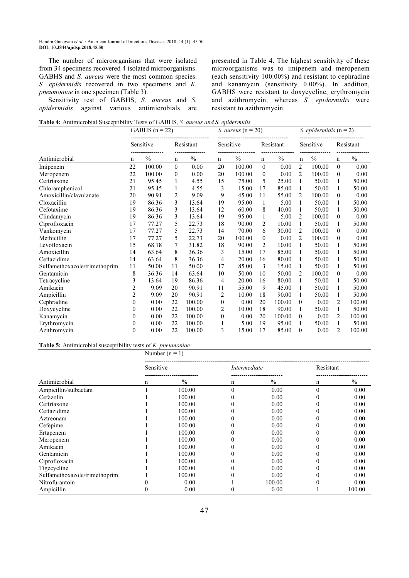The number of microorganisms that were isolated from 34 specimens recovered 4 isolated microorganisms. GABHS and S. *aureus* were the most common species. S. epidermidis recovered in two specimens and K. pneumoniae in one specimen (Table 3).

Sensitivity test of GABHS, S. aureus and S. epidermidis against various antimicrobials are presented in Table 4. The highest sensitivity of these microorganisms was to imipenem and meropenem (each sensitivity 100.00%) and resistant to cephradine and kanamycin (sensitivity 0.00%). In addition, GABHS were resistant to doxycycline, erythromycin and azithromycin, whereas S. epidermidis were resistant to azithromycin.

Table 4: Antimicrobial Susceptibility Tests of GABHS, S. aureus and S. epidermidis

|                               |                  | GABHS $(n = 22)$ |                |               |                | S. aureus ( $n = 20$ ) |              |           |                | S. epidermidis $(n=2)$ |                |           |
|-------------------------------|------------------|------------------|----------------|---------------|----------------|------------------------|--------------|-----------|----------------|------------------------|----------------|-----------|
|                               |                  | Sensitive        |                | Resistant     |                | Sensitive              |              | Resistant |                | Sensitive              |                | Resistant |
| Antimicrobial                 | n                | $\frac{0}{0}$    | n              | $\frac{0}{0}$ | n              | $\frac{0}{0}$          | $\mathbf n$  | $\%$      | n              | $\%$                   | $\mathbf n$    | $\%$      |
| Imipenem                      | 22               | 100.00           | $\mathbf{0}$   | 0.00          | 20             | 100.00                 | $\mathbf{0}$ | 0.00      | 2              | 100.00                 | $\theta$       | 0.00      |
| Meropenem                     | 22               | 100.00           | $\theta$       | 0.00          | 20             | 100.00                 | $\theta$     | 0.00      | $\overline{c}$ | 100.00                 | $\theta$       | 0.00      |
| Ceftriaxone                   | 21               | 95.45            |                | 4.55          | 15             | 75.00                  | 5            | 25.00     | 1              | 50.00                  | 1              | 50.00     |
| Chloramphenicol               | 21               | 95.45            | 1              | 4.55          | 3              | 15.00                  | 17           | 85.00     | 1              | 50.00                  | 1              | 50.00     |
| Amoxicillin/clavulanate       | 20               | 90.91            | $\overline{c}$ | 9.09          | 9              | 45.00                  | 11           | 55.00     | 2              | 100.00                 | $\theta$       | 0.00      |
| Cloxacillin                   | 19               | 86.36            | 3              | 13.64         | 19             | 95.00                  | 1            | 5.00      | 1              | 50.00                  | 1              | 50.00     |
| Cefotaxime                    | 19               | 86.36            | 3              | 13.64         | 12             | 60.00                  | 8            | 40.00     | 1              | 50.00                  | 1              | 50.00     |
| Clindamycin                   | 19               | 86.36            | 3              | 13.64         | 19             | 95.00                  | 1            | 5.00      | 2              | 100.00                 | $\mathbf{0}$   | 0.00      |
| Ciprofloxacin                 | 17               | 77.27            | 5              | 22.73         | 18             | 90.00                  | 2            | 10.00     | 1              | 50.00                  | 1              | 50.00     |
| Vankomycin                    | 17               | 77.27            | 5              | 22.73         | 14             | 70.00                  | 6            | 30.00     | $\overline{c}$ | 100.00                 | $\mathbf{0}$   | 0.00      |
| Methicillin                   | 17               | 77.27            | 5              | 22.73         | 20             | 100.00                 | $\mathbf{0}$ | 0.00      | $\overline{c}$ | 100.00                 | $\theta$       | 0.00      |
| Levofloxacin                  | 15               | 68.18            | 7              | 31.82         | 18             | 90.00                  | 2            | 10.00     | 1              | 50.00                  | 1              | 50.00     |
| Amoxicillin                   | 14               | 63.64            | 8              | 36.36         | 3              | 15.00                  | 17           | 85.00     | 1              | 50.00                  | 1              | 50.00     |
| Ceftazidime                   | 14               | 63.64            | 8              | 36.36         | $\overline{4}$ | 20.00                  | 16           | 80.00     | 1              | 50.00                  | 1              | 50.00     |
| Sulfamethoxazole/trimethoprim | 11               | 50.00            | 11             | 50.00         | 17             | 85.00                  | 3            | 15.00     | 1              | 50.00                  | 1              | 50.00     |
| Gentamicin                    | 8                | 36.36            | 14             | 63.64         | 10             | 50.00                  | 10           | 50.00     | $\overline{c}$ | 100.00                 | $\theta$       | 0.00      |
| Tetracycline                  | 3                | 13.64            | 19             | 86.36         | 4              | 20.00                  | 16           | 80.00     | 1              | 50.00                  | 1              | 50.00     |
| Amikacin                      | $\overline{c}$   | 9.09             | 20             | 90.91         | 11             | 55.00                  | 9            | 45.00     | 1              | 50.00                  | 1              | 50.00     |
| Ampicillin                    | $\overline{2}$   | 9.09             | 20             | 90.91         | 2              | 10.00                  | 18           | 90.00     | 1              | 50.00                  | 1              | 50.00     |
| Cephradine                    | $\theta$         | 0.00             | 22             | 100.00        | $\theta$       | 0.00                   | 20           | 100.00    | $\theta$       | 0.00                   | $\overline{c}$ | 100.00    |
| Doxycycline                   | $\theta$         | 0.00             | 22             | 100.00        | 2              | 10.00                  | 18           | 90.00     | 1              | 50.00                  | 1              | 50.00     |
| Kanamycin                     | $\boldsymbol{0}$ | 0.00             | 22             | 100.00        | $\theta$       | 0.00                   | 20           | 100.00    | $\theta$       | 0.00                   | 2              | 100.00    |
| Erythromycin                  | 0                | 0.00             | 22             | 100.00        |                | 5.00                   | 19           | 95.00     | 1              | 50.00                  | 1              | 50.00     |
| Azithromycin                  | $\theta$         | 0.00             | 22             | 100.00        | 3              | 15.00                  | 17           | 85.00     | $\Omega$       | 0.00                   | 2              | 100.00    |

#### Table 5: Antimicrobial susceptibility tests of K. pneumoniae

|                               |           | Number $(n = 1)$ |              |               |           |               |  |  |  |  |
|-------------------------------|-----------|------------------|--------------|---------------|-----------|---------------|--|--|--|--|
|                               | Sensitive |                  | Intermediate |               | Resistant |               |  |  |  |  |
| Antimicrobial                 | n         | $\frac{0}{0}$    | n            | $\frac{0}{0}$ | n         | $\frac{0}{0}$ |  |  |  |  |
| Ampicillin/sulbactam          |           | 100.00           | $\theta$     | 0.00          | $\theta$  | 0.00          |  |  |  |  |
| Cefazolin                     |           | 100.00           | 0            | 0.00          |           | 0.00          |  |  |  |  |
| Ceftriaxone                   |           | 100.00           | 0            | 0.00          |           | 0.00          |  |  |  |  |
| Ceftazidime                   |           | 100.00           |              | 0.00          |           | 0.00          |  |  |  |  |
| Aztreonam                     |           | 100.00           |              | 0.00          |           | 0.00          |  |  |  |  |
| Cefepime                      |           | 100.00           | 0            | 0.00          |           | 0.00          |  |  |  |  |
| Ertapenem                     |           | 100.00           |              | 0.00          |           | 0.00          |  |  |  |  |
| Meropenem                     |           | 100.00           |              | 0.00          |           | 0.00          |  |  |  |  |
| Amikacin                      |           | 100.00           | 0            | 0.00          |           | 0.00          |  |  |  |  |
| Gentamicin                    |           | 100.00           | 0            | 0.00          |           | 0.00          |  |  |  |  |
| Ciprofloxacin                 |           | 100.00           |              | 0.00          |           | 0.00          |  |  |  |  |
| Tigecycline                   |           | 100.00           |              | 0.00          |           | 0.00          |  |  |  |  |
| Sulfamethoxazole/trimethoprim |           | 100.00           |              | 0.00          |           | 0.00          |  |  |  |  |
| Nitrofurantoin                |           | 0.00             |              | 100.00        |           | 0.00          |  |  |  |  |
| Ampicillin                    |           | 0.00             |              | 0.00          |           | 100.00        |  |  |  |  |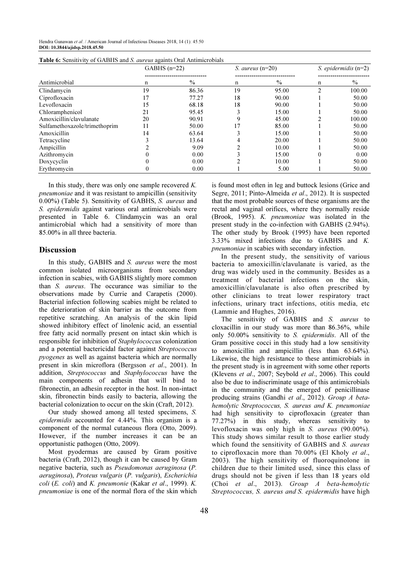Hendra Gunawan et al. / American Journal of Infectious Diseases 2018, 14 (1): 45.50 DOI: 10.3844/ajidsp.2018.45.50

|                               | $GABHS$ (n=22) |               | S. aureus $(n=20)$ |       | S. epidermidis $(n=2)$ |               |  |
|-------------------------------|----------------|---------------|--------------------|-------|------------------------|---------------|--|
|                               |                |               |                    |       |                        |               |  |
| Antimicrobial                 | n              | $\frac{0}{0}$ | n                  | $\%$  | n                      | $\frac{0}{0}$ |  |
| Clindamycin                   | 19             | 86.36         | 19                 | 95.00 |                        | 100.00        |  |
| Ciprofloxacin                 | 17             | 77.27         | 18                 | 90.00 |                        | 50.00         |  |
| Levofloxacin                  | 15             | 68.18         | 18                 | 90.00 |                        | 50.00         |  |
| Chloramphenicol               | 21             | 95.45         |                    | 15.00 |                        | 50.00         |  |
| Amoxicillin/clavulanate       | 20             | 90.91         |                    | 45.00 |                        | 100.00        |  |
| Sulfamethoxazole/trimethoprim | 11             | 50.00         |                    | 85.00 |                        | 50.00         |  |
| Amoxicillin                   | 14             | 63.64         |                    | 15.00 |                        | 50.00         |  |
| Tetracycline                  |                | 13.64         |                    | 20.00 |                        | 50.00         |  |
| Ampicillin                    |                | 9.09          |                    | 10.00 |                        | 50.00         |  |
| Azithromycin                  |                | 0.00          |                    | 15.00 | 0                      | 0.00          |  |
| Doxycyclin                    |                | 0.00          |                    | 10.00 |                        | 50.00         |  |
| Erythromycin                  | 0              | 0.00          |                    | 5.00  |                        | 50.00         |  |

 $T_{\rm tot}$  6: Sensitivity of GABHS and S. aureus againts Oral Antimicrobials of

In this study, there was only one sample recovered  $K$ . pneumoniae and it was resistant to ampicillin (sensitivity 0.00%) (Table 5). Sensitivity of GABHS, S. aureus and S. epidermidis against various oral antimicrobials were presented in Table 6. Clindamycin was an oral antimicrobial which had a sensitivity of more than 85.00% in all three bacteria.

#### Discussion

In this study, GABHS and S. *aureus* were the most common isolated microorganisms from secondary infection in scabies, with GABHS slightly more common than S. aureus. The occurance was similiar to the observations made by Currie and Carapetis (2000). Bacterial infection following scabies might be related to the deterioration of skin barrier as the outcome from repetitive scratching. An analysis of the skin lipid showed inhibitory effect of linolenic acid, an essential free fatty acid normally present on intact skin which is responsible for inhibition of Staphylococcus colonization and a potential bactericidal factor against Streptococcus pyogenes as well as against bacteria which are normally present in skin microflora (Bergsson et al., 2001). In addition, Streptococcus and Staphylococcus have the main components of adhesin that will bind to fibronectin, an adhesin receptor in the host. In non-intact skin, fibronectin binds easily to bacteria, allowing the bacterial colonization to occur on the skin (Craft, 2012).

Our study showed among all tested specimens, S. epidermidis accounted for 4.44%. This organism is a component of the normal cutaneous flora (Otto, 2009). However, if the number increases it can be an opportunistic pathogen (Otto, 2009).

Most pyodermas are caused by Gram positive bacteria (Craft, 2012), though it can be caused by Gram negative bacteria, such as Pseudomonas aeruginosa (P. aeruginosa), Proteus vulgaris (P. vulgaris), Escherichia  $\text{coli } (E. \text{ coli})$  and K. pneumonie (Kakar et al., 1999). K. pneumoniae is one of the normal flora of the skin which is found most often in leg and buttock lesions (Grice and Segre, 2011; Pinto-Almeida et al., 2012). It is suspected that the most probable sources of these organisms are the rectal and vaginal orifices, where they normally reside (Brook, 1995). K. pneumoniae was isolated in the present study in the co-infection with GABHS (2.94%). The other study by Brook (1995) have been reported 3.33% mixed infections due to GABHS and K. pneumoniae in scabies with secondary infection.

In the present study, the sensitivity of various bacteria to amoxicillin/clavulanate is varied, as the drug was widely used in the community. Besides as a treatment of bacterial infections on the skin, amoxicillin/clavulanate is also often prescribed by other clinicians to treat lower respiratory tract infections, urinary tract infections, otitis media, etc (Lammie and Hughes, 2016).

The sensitivity of GABHS and S. aureus to cloxacillin in our study was more than 86.36%, while only 50.00% sensitivity to S. epidermidis. All of the Gram possitive cocci in this study had a low sensitivity to amoxicillin and ampicillin (less than 63.64%). Likewise, the high resistance to these antimicrobials in the present study is in agreement with some other reports (Klevens et al., 2007; Seybold et al., 2006). This could also be due to indiscriminate usage of this antimicrobials in the community and the emerged of penicillinase producing strains (Gandhi et al., 2012). Group A betahemolytic Streptococcus, S. aureus and K. pneumoniae had high sensitivity to ciprofloxacin (greater than 77.27%) in this study, whereas sensitivity to levofloxacin was only high in S. aureus (90.00%). This study shows similar result to those earlier study which found the sensitivity of GABHS and S. aureus to ciprofloxacin more than 70.00% (El Kholy et al., 2003). The high sensitivity of fluoroquinolone in children due to their limited used, since this class of drugs should not be given if less than 18 years old (Choi et al., 2013). Group A beta-hemolytic Streptococcus, S. aureus and S. epidermidis have high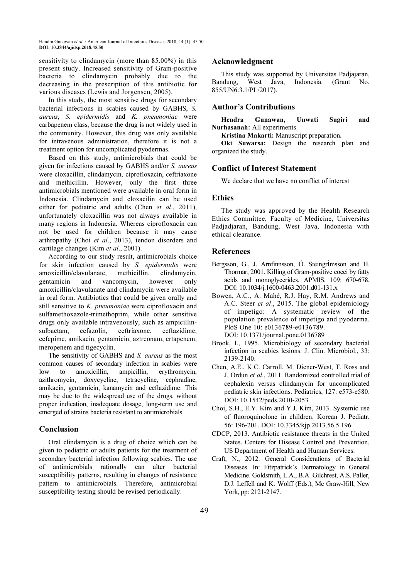sensitivity to clindamycin (more than 85.00%) in this present study. Increased sensitivity of Gram-positive bacteria to clindamycin probably due to the decreasing in the prescription of this antibiotic for various diseases (Lewis and Jorgensen, 2005).

In this study, the most sensitive drugs for secondary bacterial infections in scabies caused by GABHS, S. aureus, S. epidermidis and K. pneumoniae were carbapenem class, because the drug is not widely used in the community. However, this drug was only available for intravenous administration, therefore it is not a treatment option for uncomplicated pyodermas.

Based on this study, antimicrobials that could be given for infections caused by GABHS and/or S. aureus were cloxacillin, clindamycin, ciprofloxacin, ceftriaxone and methicillin. However, only the first three antimicrobials mentioned were available in oral form in Indonesia. Clindamycin and cloxacilin can be used either for pediatric and adults (Chen et al., 2011), unfortunately cloxacillin was not always available in many regions in Indonesia. Whereas ciprofloxacin can not be used for children because it may cause arthropathy (Choi et al., 2013), tendon disorders and cartilage changes (Kim et al., 2001).

According to our study result, antimicrobials choice for skin infection caused by S. epidermidis were amoxicillin/clavulanate, methicillin, clindamycin, gentamicin and vancomycin, however only amoxicillin/clavulanate and clindamycin were available in oral form. Antibiotics that could be given orally and still sensitive to K. pneumoniae were ciprofloxacin and sulfamethoxazole-trimethoprim, while other sensitive drugs only available intravenously, such as ampicillinsulbactam, cefazolin, ceftriaxone, ceftazidime, cefepime, amikacin, gentamicin, aztreonam, ertapenem, meropenem and tigecyclin.

The sensitivity of GABHS and S. aureus as the most common causes of secondary infection in scabies were low to amoxicillin, ampicillin, erythromycin, azithromycin, doxycycline, tetracycline, cephradine, amikacin, gentamicin, kanamycin and ceftazidime. This may be due to the widespread use of the drugs, without proper indication, inadequate dosage, long-term use and emerged of strains bacteria resistant to antimicrobials.

# Conclusion

Oral clindamycin is a drug of choice which can be given to pediatric or adults patients for the treatment of secondary bacterial infection following scabies. The use of antimicrobials rationally can alter bacterial susceptibility patterns, resulting in changes of resistance pattern to antimicrobials. Therefore, antimicrobial susceptibility testing should be revised periodically.

## Acknowledgment

This study was supported by Universitas Padjajaran, Bandung, West Java, Indonesia. (Grant No. 855/UN6.3.1/PL/2017).

# Author's Contributions

Hendra Gunawan, Unwati Sugiri and Nurhasanah: All experiments.

Kristina Makarti: Manuscript preparation.

Oki Suwarsa: Design the research plan and organized the study.

# Conflict of Interest Statement

We declare that we have no conflict of interest

## Ethics

The study was approved by the Health Research Ethics Committee, Faculty of Medicine, Universitas Padjadjaran, Bandung, West Java, Indonesia with ethical clearance.

# References

- Bergsson, G., J. Arnfinnsson, Ó. SteingrÍmsson and H. Thormar, 2001. Killing of Gram-positive cocci by fatty acids and monoglycerides. APMIS, 109: 670-678. DOI: 10.1034/j.1600-0463.2001.d01-131.x
- Bowen, A.C., A. Mahé, R.J. Hay, R.M. Andrews and A.C. Steer et al., 2015. The global epidemiology of impetigo: A systematic review of the population prevalence of impetigo and pyoderma. PloS One 10: e0136789-e0136789. DOI: 10.1371/journal.pone.0136789
- Brook, I., 1995. Microbiology of secondary bacterial infection in scabies lesions. J. Clin. Microbiol., 33: 2139-2140.
- Chen, A.E., K.C. Carroll, M. Diener-West, T. Ross and J. Ordun et al., 2011. Randomized controlled trial of cephalexin versus clindamycin for uncomplicated pediatric skin infections. Pediatrics, 127: e573-e580. DOI: 10.1542/peds.2010-2053
- Choi, S.H., E.Y. Kim and Y.J. Kim, 2013. Systemic use of fluoroquinolone in children. Korean J. Pediatr, 56: 196-201. DOI: 10.3345/kjp.2013.56.5.196
- CDCP, 2013. Antibiotic resistance threats in the United States. Centers for Disease Control and Prevention, US Department of Health and Human Services.
- Craft, N., 2012. General Considerations of Bacterial Diseases. In: Fitzpatrick's Dermatology in General Medicine. Goldsmith, L.A., B.A. Gilchrest, A.S. Paller, D.J. Leffell and K. Wolff (Eds.), Mc Graw-Hill, New York, pp: 2121-2147.